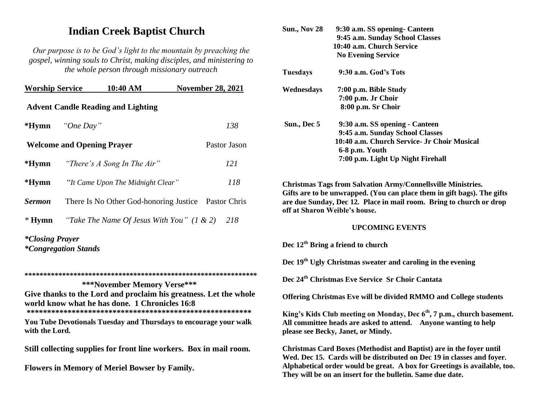## **Indian Creek Baptist Church**

*Our purpose is to be God's light to the mountain by preaching the gospel, winning souls to Christ, making disciples, and ministering to the whole person through missionary outreach*

| <b>Worship Service</b>                            |  | 10:40 AM                                            |  | <b>November 28, 2021</b> |  |
|---------------------------------------------------|--|-----------------------------------------------------|--|--------------------------|--|
| <b>Advent Candle Reading and Lighting</b>         |  |                                                     |  |                          |  |
| *Hymn "One Day"                                   |  |                                                     |  | 138                      |  |
| <b>Welcome and Opening Prayer</b><br>Pastor Jason |  |                                                     |  |                          |  |
|                                                   |  | * <b>Hymn</b> <i>"There's A Song In The Air"</i>    |  | 121                      |  |
| *Hymn                                             |  | "It Came Upon The Midnight Clear"                   |  | 118                      |  |
| <b>Sermon</b>                                     |  | There Is No Other God-honoring Justice Pastor Chris |  |                          |  |
| $*$ Hymn                                          |  | "Take The Name Of Jesus With You" $(1 \& 2)$        |  | 218                      |  |
| *Closing Prayer                                   |  |                                                     |  |                          |  |

*\*Closing Prayer \*Congregation Stands*

**\*\*\*\*\*\*\*\*\*\*\*\*\*\*\*\*\*\*\*\*\*\*\*\*\*\*\*\*\*\*\*\*\*\*\*\*\*\*\*\*\*\*\*\*\*\*\*\*\*\*\*\*\*\*\*\*\*\*\*\*\*\* \*\*\*November Memory Verse\*\*\* Give thanks to the Lord and proclaim his greatness. Let the whole world know what he has done. 1 Chronicles 16:8** 

**\*\*\*\*\*\*\*\*\*\*\*\*\*\*\*\*\*\*\*\*\*\*\*\*\*\*\*\*\*\*\*\*\*\*\*\*\*\*\*\*\*\*\*\*\*\*\*\*\*\*\*\*\*\*\*** 

**You Tube Devotionals Tuesday and Thursdays to encourage your walk with the Lord.** 

**Still collecting supplies for front line workers. Box in mail room.**

**Flowers in Memory of Meriel Bowser by Family.**

| 9:30 a.m. God's Tots<br><b>Tuesdays</b><br>Wednesdays<br>7:00 p.m. Bible Study<br>7:00 p.m. Jr Choir<br>8:00 p.m. Sr Choir<br>Sun., Dec 5<br>9:30 a.m. SS opening - Canteen<br>9:45 a.m. Sunday School Classes<br>10:40 a.m. Church Service- Jr Choir Musical<br>6-8 p.m. Youth<br>7:00 p.m. Light Up Night Firehall<br><b>Christmas Tags from Salvation Army/Connellsville Ministries.</b><br>Gifts are to be unwrapped. (You can place them in gift bags). The gifts<br>are due Sunday, Dec 12. Place in mail room. Bring to church or drop<br>off at Sharon Weible's house.<br><b>UPCOMING EVENTS</b><br>Dec $12th$ Bring a friend to church<br>Dec 19 <sup>th</sup> Ugly Christmas sweater and caroling in the evening<br>Dec 24 <sup>th</sup> Christmas Eve Service Sr Choir Cantata<br><b>Offering Christmas Eve will be divided RMMO and College students</b><br>King's Kids Club meeting on Monday, Dec 6 <sup>th</sup> , 7 p.m., church basement.<br>All committee heads are asked to attend. Anyone wanting to help<br>please see Becky, Janet, or Mindy.<br>Christmas Card Boxes (Methodist and Baptist) are in the foyer until<br>Wed. Dec 15. Cards will be distributed on Dec 19 in classes and foyer. | <b>Sun., Nov 28</b> | 9:30 a.m. SS opening- Canteen<br>9:45 a.m. Sunday School Classes<br>10:40 a.m. Church Service<br><b>No Evening Service</b> |
|----------------------------------------------------------------------------------------------------------------------------------------------------------------------------------------------------------------------------------------------------------------------------------------------------------------------------------------------------------------------------------------------------------------------------------------------------------------------------------------------------------------------------------------------------------------------------------------------------------------------------------------------------------------------------------------------------------------------------------------------------------------------------------------------------------------------------------------------------------------------------------------------------------------------------------------------------------------------------------------------------------------------------------------------------------------------------------------------------------------------------------------------------------------------------------------------------------------------|---------------------|----------------------------------------------------------------------------------------------------------------------------|
|                                                                                                                                                                                                                                                                                                                                                                                                                                                                                                                                                                                                                                                                                                                                                                                                                                                                                                                                                                                                                                                                                                                                                                                                                      |                     |                                                                                                                            |
|                                                                                                                                                                                                                                                                                                                                                                                                                                                                                                                                                                                                                                                                                                                                                                                                                                                                                                                                                                                                                                                                                                                                                                                                                      |                     |                                                                                                                            |
|                                                                                                                                                                                                                                                                                                                                                                                                                                                                                                                                                                                                                                                                                                                                                                                                                                                                                                                                                                                                                                                                                                                                                                                                                      |                     |                                                                                                                            |
|                                                                                                                                                                                                                                                                                                                                                                                                                                                                                                                                                                                                                                                                                                                                                                                                                                                                                                                                                                                                                                                                                                                                                                                                                      |                     |                                                                                                                            |
|                                                                                                                                                                                                                                                                                                                                                                                                                                                                                                                                                                                                                                                                                                                                                                                                                                                                                                                                                                                                                                                                                                                                                                                                                      |                     |                                                                                                                            |
|                                                                                                                                                                                                                                                                                                                                                                                                                                                                                                                                                                                                                                                                                                                                                                                                                                                                                                                                                                                                                                                                                                                                                                                                                      |                     |                                                                                                                            |
|                                                                                                                                                                                                                                                                                                                                                                                                                                                                                                                                                                                                                                                                                                                                                                                                                                                                                                                                                                                                                                                                                                                                                                                                                      |                     |                                                                                                                            |
|                                                                                                                                                                                                                                                                                                                                                                                                                                                                                                                                                                                                                                                                                                                                                                                                                                                                                                                                                                                                                                                                                                                                                                                                                      |                     |                                                                                                                            |
|                                                                                                                                                                                                                                                                                                                                                                                                                                                                                                                                                                                                                                                                                                                                                                                                                                                                                                                                                                                                                                                                                                                                                                                                                      |                     |                                                                                                                            |
|                                                                                                                                                                                                                                                                                                                                                                                                                                                                                                                                                                                                                                                                                                                                                                                                                                                                                                                                                                                                                                                                                                                                                                                                                      |                     |                                                                                                                            |
| Alphabetical order would be great. A box for Greetings is available, too.<br>They will be on an insert for the bulletin. Same due date.                                                                                                                                                                                                                                                                                                                                                                                                                                                                                                                                                                                                                                                                                                                                                                                                                                                                                                                                                                                                                                                                              |                     |                                                                                                                            |